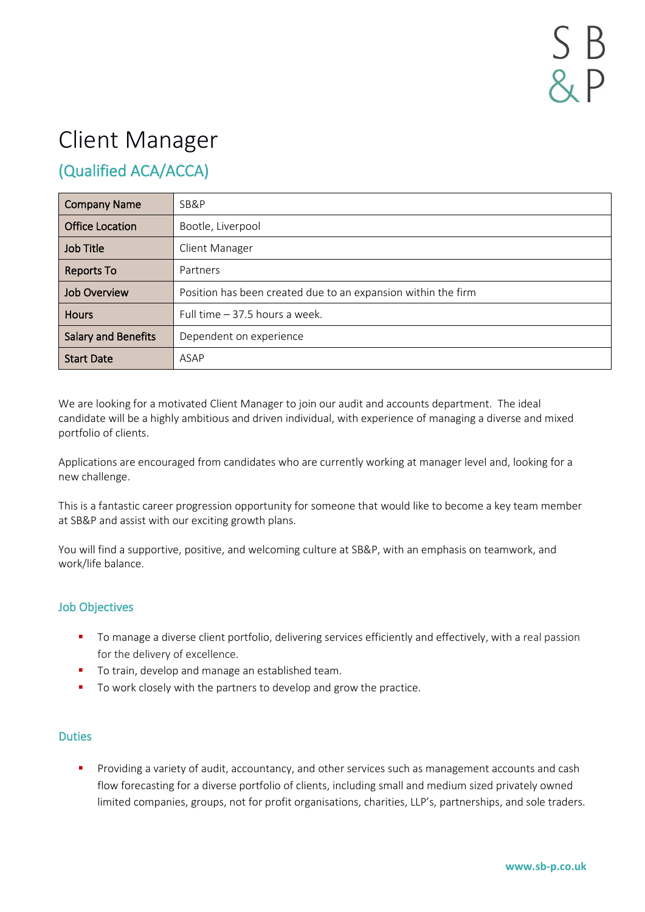# Client Manager

# (Qualified ACA/ACCA)

| <b>Company Name</b>        | SB&P                                                          |
|----------------------------|---------------------------------------------------------------|
| <b>Office Location</b>     | Bootle, Liverpool                                             |
| <b>Job Title</b>           | Client Manager                                                |
| <b>Reports To</b>          | Partners                                                      |
| <b>Job Overview</b>        | Position has been created due to an expansion within the firm |
| <b>Hours</b>               | Full time $-37.5$ hours a week.                               |
| <b>Salary and Benefits</b> | Dependent on experience                                       |
| <b>Start Date</b>          | ASAP                                                          |

We are looking for a motivated Client Manager to join our audit and accounts department. The ideal candidate will be a highly ambitious and driven individual, with experience of managing a diverse and mixed portfolio of clients.

Applications are encouraged from candidates who are currently working at manager level and, looking for a new challenge.

This is a fantastic career progression opportunity for someone that would like to become a key team member at SB&P and assist with our exciting growth plans.

You will find a supportive, positive, and welcoming culture at SB&P, with an emphasis on teamwork, and work/life balance.

## Job Objectives

- **•** To manage a diverse client portfolio, delivering services efficiently and effectively, with a real passion for the delivery of excellence.
- To train, develop and manage an established team.
- To work closely with the partners to develop and grow the practice.

#### **Duties**

**•** Providing a variety of audit, accountancy, and other services such as management accounts and cash flow forecasting for a diverse portfolio of clients, including small and medium sized privately owned limited companies, groups, not for profit organisations, charities, LLP's, partnerships, and sole traders.